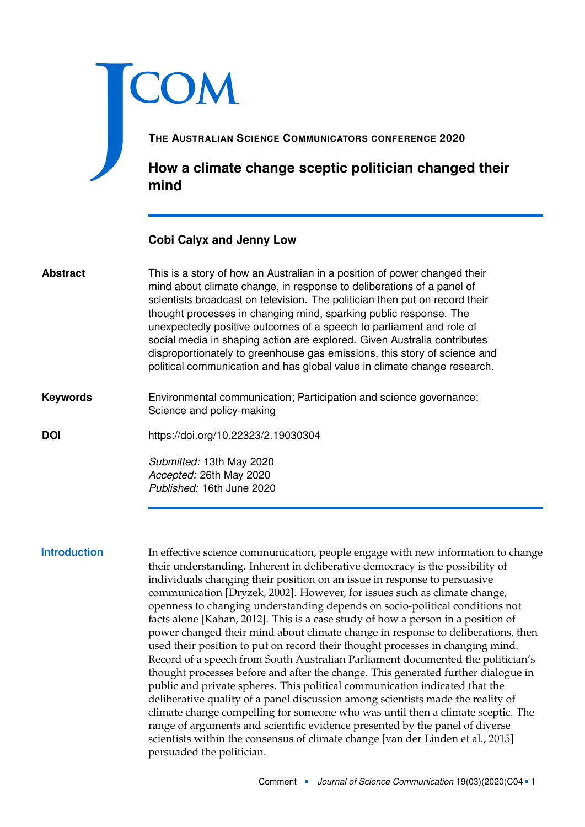# J **COM**

**THE AUSTRALIAN SCIENCE COMMUNICATORS CONFERENCE 2020**

**How a climate change sceptic politician changed their mind**

# **Cobi Calyx and Jenny Low**

- This is a story of how an Australian in a position of power changed their mind about climate change, in response to deliberations of a panel of scientists broadcast on television. The politician then put on record their thought processes in changing mind, sparking public response. The unexpectedly positive outcomes of a speech to parliament and role of social media in shaping action are explored. Given Australia contributes disproportionately to greenhouse gas emissions, this story of science and political communication and has global value in climate change research. **Abstract**
- Environmental communication; Participation and science governance; Science and policy-making **Keywords**

**DOI** <https://doi.org/10.22323/2.19030304>

*Submitted:* 13th May 2020 *Accepted:* 26th May 2020 *Published:* 16th June 2020

**Introduction** In effective science communication, people engage with new information to change their understanding. Inherent in deliberative democracy is the possibility of individuals changing their position on an issue in response to persuasive communication [Dryzek, [2002\]](#page-5-0). However, for issues such as climate change, openness to changing understanding depends on socio-political conditions not facts alone [Kahan, [2012\]](#page-5-1). This is a case study of how a person in a position of power changed their mind about climate change in response to deliberations, then used their position to put on record their thought processes in changing mind. Record of a speech from South Australian Parliament documented the politician's thought processes before and after the change. This generated further dialogue in public and private spheres. This political communication indicated that the deliberative quality of a panel discussion among scientists made the reality of climate change compelling for someone who was until then a climate sceptic. The range of arguments and scientific evidence presented by the panel of diverse scientists within the consensus of climate change [van der Linden et al., [2015\]](#page-5-2) persuaded the politician.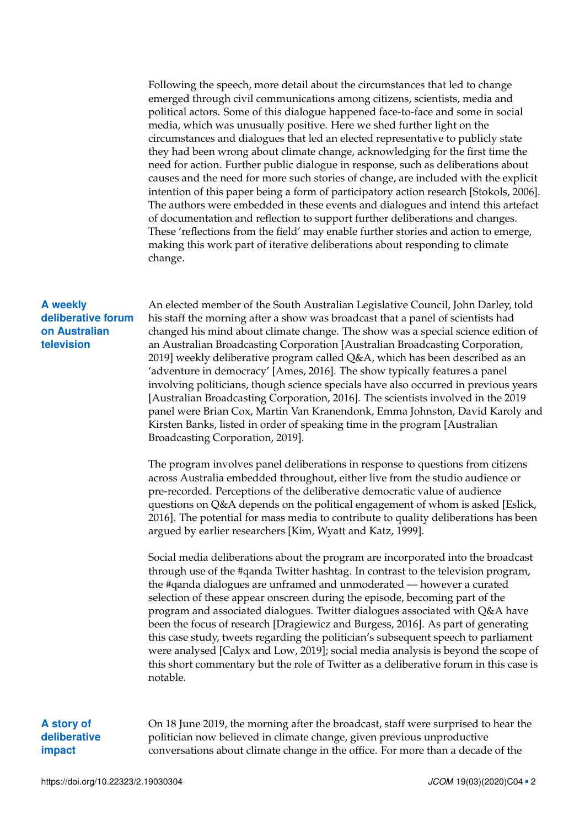Following the speech, more detail about the circumstances that led to change emerged through civil communications among citizens, scientists, media and political actors. Some of this dialogue happened face-to-face and some in social media, which was unusually positive. Here we shed further light on the circumstances and dialogues that led an elected representative to publicly state they had been wrong about climate change, acknowledging for the first time the need for action. Further public dialogue in response, such as deliberations about causes and the need for more such stories of change, are included with the explicit intention of this paper being a form of participatory action research [Stokols, [2006\]](#page-5-3). The authors were embedded in these events and dialogues and intend this artefact of documentation and reflection to support further deliberations and changes. These 'reflections from the field' may enable further stories and action to emerge, making this work part of iterative deliberations about responding to climate change.

## **A weekly deliberative forum on Australian television**

An elected member of the South Australian Legislative Council, John Darley, told his staff the morning after a show was broadcast that a panel of scientists had changed his mind about climate change. The show was a special science edition of an Australian Broadcasting Corporation [Australian Broadcasting Corporation, [2019\]](#page-4-0) weekly deliberative program called Q&A, which has been described as an 'adventure in democracy' [Ames, [2016\]](#page-4-1). The show typically features a panel involving politicians, though science specials have also occurred in previous years [Australian Broadcasting Corporation, [2016\]](#page-4-2). The scientists involved in the 2019 panel were Brian Cox, Martin Van Kranendonk, Emma Johnston, David Karoly and Kirsten Banks, listed in order of speaking time in the program [Australian Broadcasting Corporation, [2019\]](#page-4-0).

The program involves panel deliberations in response to questions from citizens across Australia embedded throughout, either live from the studio audience or pre-recorded. Perceptions of the deliberative democratic value of audience questions on Q&A depends on the political engagement of whom is asked [Eslick, [2016\]](#page-5-4). The potential for mass media to contribute to quality deliberations has been argued by earlier researchers [Kim, Wyatt and Katz, [1999\]](#page-5-5).

Social media deliberations about the program are incorporated into the broadcast through use of the #qanda Twitter hashtag. In contrast to the television program, the #qanda dialogues are unframed and unmoderated — however a curated selection of these appear onscreen during the episode, becoming part of the program and associated dialogues. Twitter dialogues associated with Q&A have been the focus of research [Dragiewicz and Burgess, [2016\]](#page-5-6). As part of generating this case study, tweets regarding the politician's subsequent speech to parliament were analysed [Calyx and Low, [2019\]](#page-4-3); social media analysis is beyond the scope of this short commentary but the role of Twitter as a deliberative forum in this case is notable.

## **A story of deliberative impact**

On 18 June 2019, the morning after the broadcast, staff were surprised to hear the politician now believed in climate change, given previous unproductive conversations about climate change in the office. For more than a decade of the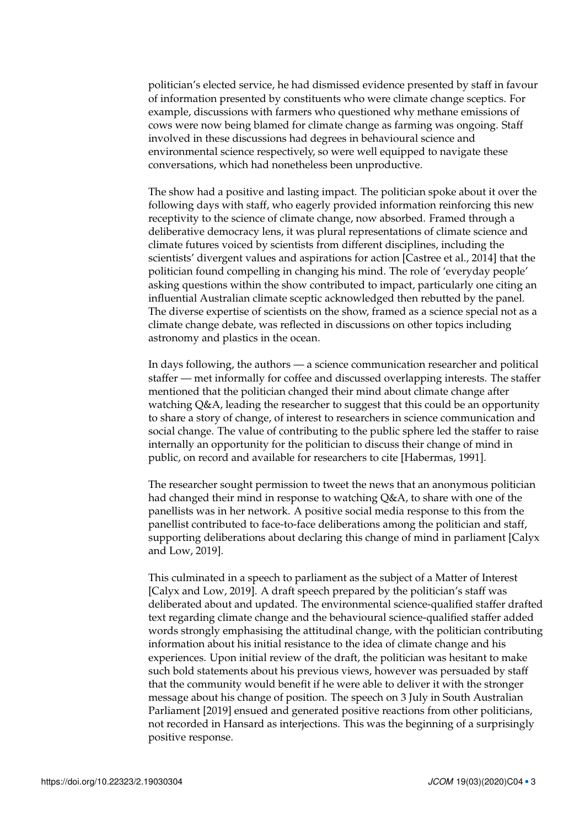politician's elected service, he had dismissed evidence presented by staff in favour of information presented by constituents who were climate change sceptics. For example, discussions with farmers who questioned why methane emissions of cows were now being blamed for climate change as farming was ongoing. Staff involved in these discussions had degrees in behavioural science and environmental science respectively, so were well equipped to navigate these conversations, which had nonetheless been unproductive.

The show had a positive and lasting impact. The politician spoke about it over the following days with staff, who eagerly provided information reinforcing this new receptivity to the science of climate change, now absorbed. Framed through a deliberative democracy lens, it was plural representations of climate science and climate futures voiced by scientists from different disciplines, including the scientists' divergent values and aspirations for action [Castree et al., [2014\]](#page-4-4) that the politician found compelling in changing his mind. The role of 'everyday people' asking questions within the show contributed to impact, particularly one citing an influential Australian climate sceptic acknowledged then rebutted by the panel. The diverse expertise of scientists on the show, framed as a science special not as a climate change debate, was reflected in discussions on other topics including astronomy and plastics in the ocean.

In days following, the authors — a science communication researcher and political staffer — met informally for coffee and discussed overlapping interests. The staffer mentioned that the politician changed their mind about climate change after watching Q&A, leading the researcher to suggest that this could be an opportunity to share a story of change, of interest to researchers in science communication and social change. The value of contributing to the public sphere led the staffer to raise internally an opportunity for the politician to discuss their change of mind in public, on record and available for researchers to cite [Habermas, [1991\]](#page-5-7).

The researcher sought permission to tweet the news that an anonymous politician had changed their mind in response to watching Q&A, to share with one of the panellists was in her network. A positive social media response to this from the panellist contributed to face-to-face deliberations among the politician and staff, supporting deliberations about declaring this change of mind in parliament [Calyx and Low, [2019\]](#page-4-3).

This culminated in a speech to parliament as the subject of a Matter of Interest [Calyx and Low, [2019\]](#page-4-3). A draft speech prepared by the politician's staff was deliberated about and updated. The environmental science-qualified staffer drafted text regarding climate change and the behavioural science-qualified staffer added words strongly emphasising the attitudinal change, with the politician contributing information about his initial resistance to the idea of climate change and his experiences. Upon initial review of the draft, the politician was hesitant to make such bold statements about his previous views, however was persuaded by staff that the community would benefit if he were able to deliver it with the stronger message about his change of position. The speech on 3 July in South Australian Parliament [\[2019\]](#page-5-8) ensued and generated positive reactions from other politicians, not recorded in Hansard as interjections. This was the beginning of a surprisingly positive response.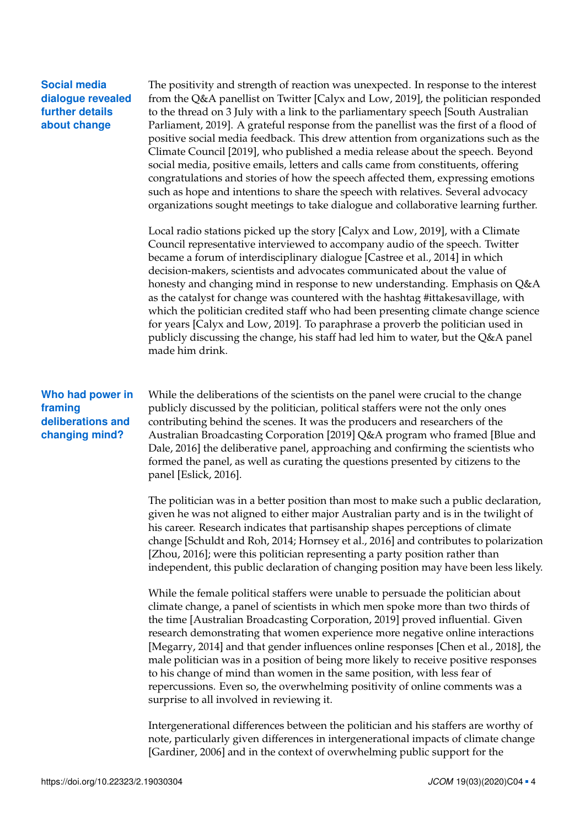| <b>Social media</b> |
|---------------------|
| dialogue revealed   |
| further details     |
| about change        |

The positivity and strength of reaction was unexpected. In response to the interest from the Q&A panellist on Twitter [Calyx and Low, [2019\]](#page-4-3), the politician responded to the thread on 3 July with a link to the parliamentary speech [South Australian Parliament, [2019\]](#page-5-8). A grateful response from the panellist was the first of a flood of positive social media feedback. This drew attention from organizations such as the Climate Council [\[2019\]](#page-4-5), who published a media release about the speech. Beyond social media, positive emails, letters and calls came from constituents, offering congratulations and stories of how the speech affected them, expressing emotions such as hope and intentions to share the speech with relatives. Several advocacy organizations sought meetings to take dialogue and collaborative learning further.

Local radio stations picked up the story [Calyx and Low, [2019\]](#page-4-3), with a Climate Council representative interviewed to accompany audio of the speech. Twitter became a forum of interdisciplinary dialogue [Castree et al., [2014\]](#page-4-4) in which decision-makers, scientists and advocates communicated about the value of honesty and changing mind in response to new understanding. Emphasis on Q&A as the catalyst for change was countered with the hashtag #ittakesavillage, with which the politician credited staff who had been presenting climate change science for years [Calyx and Low, [2019\]](#page-4-3). To paraphrase a proverb the politician used in publicly discussing the change, his staff had led him to water, but the Q&A panel made him drink.

## **Who had power in framing deliberations and changing mind?**

While the deliberations of the scientists on the panel were crucial to the change publicly discussed by the politician, political staffers were not the only ones contributing behind the scenes. It was the producers and researchers of the Australian Broadcasting Corporation [\[2019\]](#page-4-0) Q&A program who framed [Blue and Dale, [2016\]](#page-4-6) the deliberative panel, approaching and confirming the scientists who formed the panel, as well as curating the questions presented by citizens to the panel [Eslick, [2016\]](#page-5-4).

The politician was in a better position than most to make such a public declaration, given he was not aligned to either major Australian party and is in the twilight of his career. Research indicates that partisanship shapes perceptions of climate change [Schuldt and Roh, [2014;](#page-5-9) Hornsey et al., [2016\]](#page-5-10) and contributes to polarization [Zhou, [2016\]](#page-5-11); were this politician representing a party position rather than independent, this public declaration of changing position may have been less likely.

While the female political staffers were unable to persuade the politician about climate change, a panel of scientists in which men spoke more than two thirds of the time [Australian Broadcasting Corporation, [2019\]](#page-4-0) proved influential. Given research demonstrating that women experience more negative online interactions [Megarry, [2014\]](#page-5-12) and that gender influences online responses [Chen et al., [2018\]](#page-4-7), the male politician was in a position of being more likely to receive positive responses to his change of mind than women in the same position, with less fear of repercussions. Even so, the overwhelming positivity of online comments was a surprise to all involved in reviewing it.

Intergenerational differences between the politician and his staffers are worthy of note, particularly given differences in intergenerational impacts of climate change [Gardiner, [2006\]](#page-5-13) and in the context of overwhelming public support for the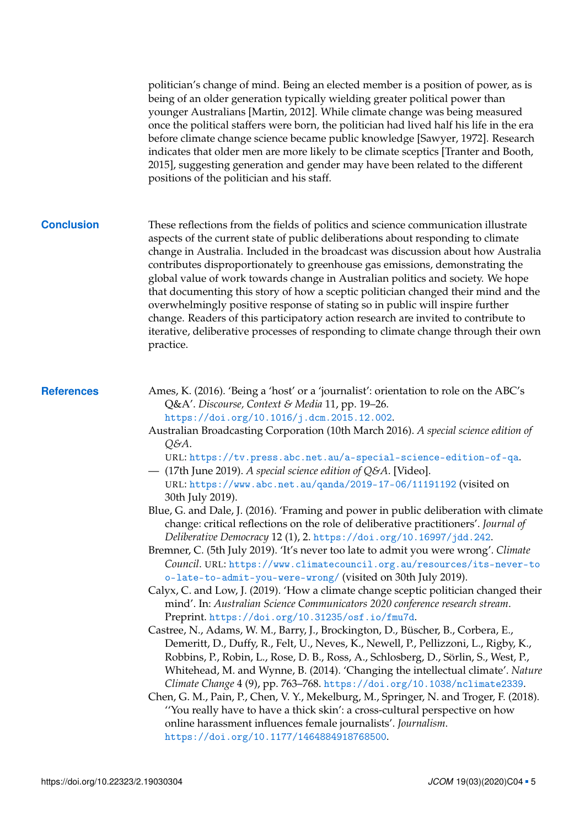politician's change of mind. Being an elected member is a position of power, as is being of an older generation typically wielding greater political power than younger Australians [Martin, [2012\]](#page-5-14). While climate change was being measured once the political staffers were born, the politician had lived half his life in the era before climate change science became public knowledge [Sawyer, [1972\]](#page-5-15). Research indicates that older men are more likely to be climate sceptics [Tranter and Booth, [2015\]](#page-5-16), suggesting generation and gender may have been related to the different positions of the politician and his staff.

**Conclusion** These reflections from the fields of politics and science communication illustrate aspects of the current state of public deliberations about responding to climate change in Australia. Included in the broadcast was discussion about how Australia contributes disproportionately to greenhouse gas emissions, demonstrating the global value of work towards change in Australian politics and society. We hope that documenting this story of how a sceptic politician changed their mind and the overwhelmingly positive response of stating so in public will inspire further change. Readers of this participatory action research are invited to contribute to iterative, deliberative processes of responding to climate change through their own practice.

- **References** Ames, K. (2016). 'Being a 'host' or a 'journalist': orientation to role on the ABC's Q&A'. *Discourse, Context & Media* 11, pp. 19–26. <https://doi.org/10.1016/j.dcm.2015.12.002>.
	- Australian Broadcasting Corporation (10th March 2016). *A special science edition of Q&A*.

<span id="page-4-2"></span><span id="page-4-1"></span>URL: <https://tv.press.abc.net.au/a-special-science-edition-of-qa>.

- <span id="page-4-0"></span>— (17th June 2019). *A special science edition of Q&A*. [Video]. URL: <https://www.abc.net.au/qanda/2019-17-06/11191192> (visited on 30th July 2019).
- <span id="page-4-6"></span>Blue, G. and Dale, J. (2016). 'Framing and power in public deliberation with climate change: critical reflections on the role of deliberative practitioners'. *Journal of Deliberative Democracy* 12 (1), 2. <https://doi.org/10.16997/jdd.242>.
- <span id="page-4-5"></span>Bremner, C. (5th July 2019). 'It's never too late to admit you were wrong'. *Climate Council*. URL: [https://www.climatecouncil.org.au/resources/its-never-to](https://www.climatecouncil.org.au/resources/its-never-too-late-to-admit-you-were-wrong/) [o-late-to-admit-you-were-wrong/](https://www.climatecouncil.org.au/resources/its-never-too-late-to-admit-you-were-wrong/) (visited on 30th July 2019).
- <span id="page-4-3"></span>Calyx, C. and Low, J. (2019). 'How a climate change sceptic politician changed their mind'. In: *Australian Science Communicators 2020 conference research stream*. Preprint. <https://doi.org/10.31235/osf.io/fmu7d>.
- <span id="page-4-4"></span>Castree, N., Adams, W. M., Barry, J., Brockington, D., Büscher, B., Corbera, E., Demeritt, D., Duffy, R., Felt, U., Neves, K., Newell, P., Pellizzoni, L., Rigby, K., Robbins, P., Robin, L., Rose, D. B., Ross, A., Schlosberg, D., Sörlin, S., West, P., Whitehead, M. and Wynne, B. (2014). 'Changing the intellectual climate'. *Nature Climate Change* 4 (9), pp. 763–768. <https://doi.org/10.1038/nclimate2339>.
- <span id="page-4-7"></span>Chen, G. M., Pain, P., Chen, V. Y., Mekelburg, M., Springer, N. and Troger, F. (2018). ''You really have to have a thick skin': a cross-cultural perspective on how online harassment influences female journalists'. *Journalism*. <https://doi.org/10.1177/1464884918768500>.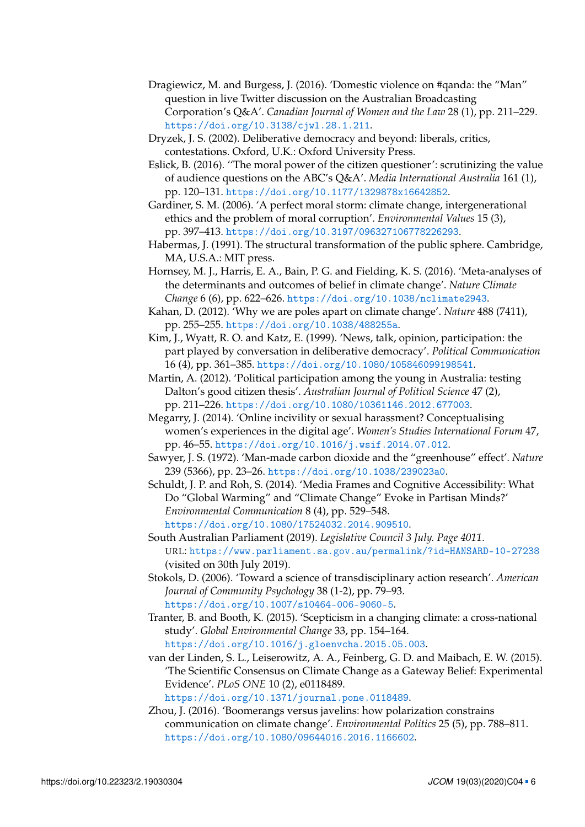- <span id="page-5-6"></span>Dragiewicz, M. and Burgess, J. (2016). 'Domestic violence on #qanda: the "Man" question in live Twitter discussion on the Australian Broadcasting Corporation's Q&A'. *Canadian Journal of Women and the Law* 28 (1), pp. 211–229. <https://doi.org/10.3138/cjwl.28.1.211>.
- <span id="page-5-0"></span>Dryzek, J. S. (2002). Deliberative democracy and beyond: liberals, critics, contestations. Oxford, U.K.: Oxford University Press.
- <span id="page-5-4"></span>Eslick, B. (2016). ''The moral power of the citizen questioner': scrutinizing the value of audience questions on the ABC's Q&A'. *Media International Australia* 161 (1), pp. 120–131. <https://doi.org/10.1177/1329878x16642852>.
- <span id="page-5-13"></span>Gardiner, S. M. (2006). 'A perfect moral storm: climate change, intergenerational ethics and the problem of moral corruption'. *Environmental Values* 15 (3), pp. 397–413. <https://doi.org/10.3197/096327106778226293>.
- <span id="page-5-7"></span>Habermas, J. (1991). The structural transformation of the public sphere. Cambridge, MA, U.S.A.: MIT press.
- <span id="page-5-10"></span>Hornsey, M. J., Harris, E. A., Bain, P. G. and Fielding, K. S. (2016). 'Meta-analyses of the determinants and outcomes of belief in climate change'. *Nature Climate Change* 6 (6), pp. 622–626. <https://doi.org/10.1038/nclimate2943>.
- <span id="page-5-1"></span>Kahan, D. (2012). 'Why we are poles apart on climate change'. *Nature* 488 (7411), pp. 255–255. <https://doi.org/10.1038/488255a>.
- <span id="page-5-5"></span>Kim, J., Wyatt, R. O. and Katz, E. (1999). 'News, talk, opinion, participation: the part played by conversation in deliberative democracy'. *Political Communication* 16 (4), pp. 361–385. <https://doi.org/10.1080/105846099198541>.
- <span id="page-5-14"></span>Martin, A. (2012). 'Political participation among the young in Australia: testing Dalton's good citizen thesis'. *Australian Journal of Political Science* 47 (2), pp. 211–226. <https://doi.org/10.1080/10361146.2012.677003>.
- <span id="page-5-12"></span>Megarry, J. (2014). 'Online incivility or sexual harassment? Conceptualising women's experiences in the digital age'. *Women's Studies International Forum* 47, pp. 46–55. <https://doi.org/10.1016/j.wsif.2014.07.012>.
- <span id="page-5-15"></span>Sawyer, J. S. (1972). 'Man-made carbon dioxide and the "greenhouse" effect'. *Nature* 239 (5366), pp. 23–26. <https://doi.org/10.1038/239023a0>.
- <span id="page-5-9"></span>Schuldt, J. P. and Roh, S. (2014). 'Media Frames and Cognitive Accessibility: What Do "Global Warming" and "Climate Change" Evoke in Partisan Minds?' *Environmental Communication* 8 (4), pp. 529–548. <https://doi.org/10.1080/17524032.2014.909510>.
- <span id="page-5-8"></span>South Australian Parliament (2019). *Legislative Council 3 July. Page 4011*. URL: <https://www.parliament.sa.gov.au/permalink/?id=HANSARD-10-27238> (visited on 30th July 2019).
- <span id="page-5-3"></span>Stokols, D. (2006). 'Toward a science of transdisciplinary action research'. *American Journal of Community Psychology* 38 (1-2), pp. 79–93. <https://doi.org/10.1007/s10464-006-9060-5>.
- <span id="page-5-16"></span>Tranter, B. and Booth, K. (2015). 'Scepticism in a changing climate: a cross-national study'. *Global Environmental Change* 33, pp. 154–164. <https://doi.org/10.1016/j.gloenvcha.2015.05.003>.
- <span id="page-5-2"></span>van der Linden, S. L., Leiserowitz, A. A., Feinberg, G. D. and Maibach, E. W. (2015). 'The Scientific Consensus on Climate Change as a Gateway Belief: Experimental Evidence'. *PLoS ONE* 10 (2), e0118489.

<https://doi.org/10.1371/journal.pone.0118489>.

<span id="page-5-11"></span>Zhou, J. (2016). 'Boomerangs versus javelins: how polarization constrains communication on climate change'. *Environmental Politics* 25 (5), pp. 788–811. <https://doi.org/10.1080/09644016.2016.1166602>.